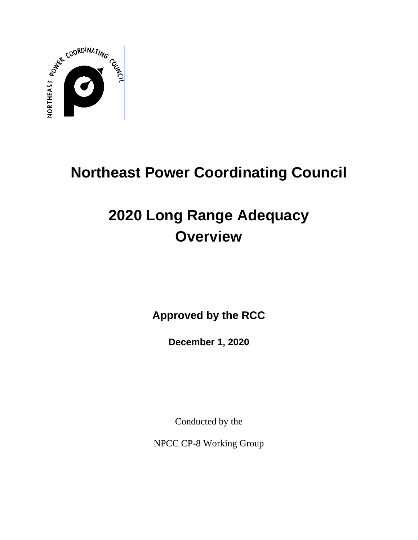

# **Northeast Power Coordinating Council**

# **2020 Long Range Adequacy Overview**

**Approved by the RCC**

**December 1, 2020**

Conducted by the

NPCC CP-8 Working Group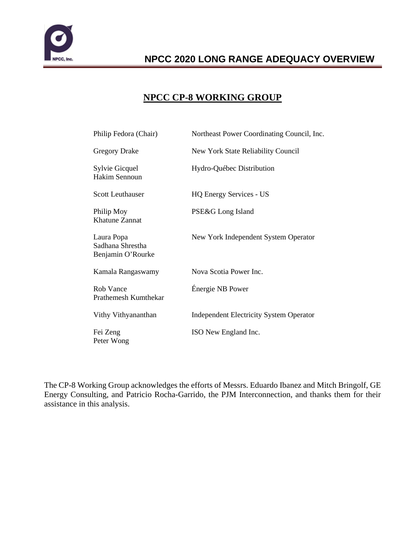

### **NPCC CP-8 WORKING GROUP**

| Philip Fedora (Chair)                               | Northeast Power Coordinating Council, Inc.     |
|-----------------------------------------------------|------------------------------------------------|
| <b>Gregory Drake</b>                                | New York State Reliability Council             |
| Sylvie Gicquel<br>Hakim Sennoun                     | Hydro-Québec Distribution                      |
| <b>Scott Leuthauser</b>                             | <b>HQ Energy Services - US</b>                 |
| Philip Moy<br><b>Khatune Zannat</b>                 | PSE&G Long Island                              |
| Laura Popa<br>Sadhana Shrestha<br>Benjamin O'Rourke | New York Independent System Operator           |
| Kamala Rangaswamy                                   | Nova Scotia Power Inc.                         |
| Rob Vance<br>Prathemesh Kumthekar                   | Énergie NB Power                               |
| Vithy Vithyananthan                                 | <b>Independent Electricity System Operator</b> |
| Fei Zeng<br>Peter Wong                              | ISO New England Inc.                           |

The CP-8 Working Group acknowledges the efforts of Messrs. Eduardo Ibanez and Mitch Bringolf, GE Energy Consulting, and Patricio Rocha-Garrido, the PJM Interconnection, and thanks them for their assistance in this analysis.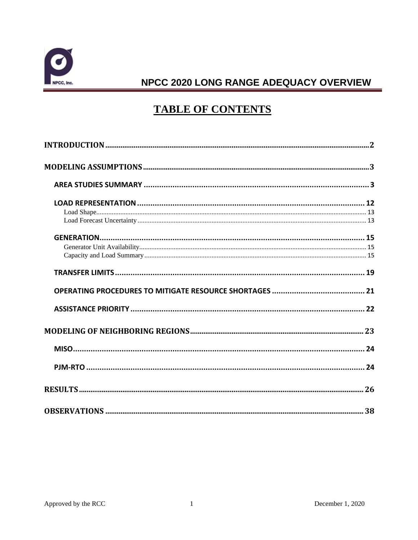

# **TABLE OF CONTENTS**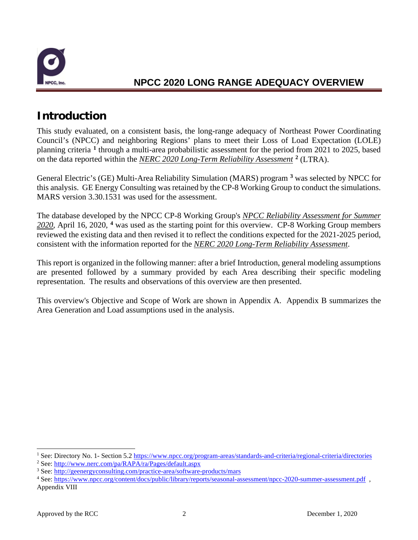

# <span id="page-3-0"></span>**Introduction**

This study evaluated, on a consistent basis, the long-range adequacy of Northeast Power Coordinating Council's (NPCC) and neighboring Regions' plans to meet their Loss of Load Expectation (LOLE) planning criteria **[1](#page-3-1)** through a multi-area probabilistic assessment for the period from 2021 to 2025, based on the data reported within the *NERC 2020 Long-Term Reliability Assessment* **[2](#page-3-2)** (LTRA).

General Electric's (GE) Multi-Area Reliability Simulation (MARS) program **[3](#page-3-3)** was selected by NPCC for this analysis. GE Energy Consulting was retained by the CP-8 Working Group to conduct the simulations. MARS version 3.30.1531 was used for the assessment.

The database developed by the NPCC CP-8 Working Group's *NPCC Reliability Assessment for Summer 2020*, April 16, 2020, **[4](#page-3-4)** was used as the starting point for this overview. CP-8 Working Group members reviewed the existing data and then revised it to reflect the conditions expected for the 2021-2025 period, consistent with the information reported for the *NERC 2020 Long-Term Reliability Assessment*.

This report is organized in the following manner: after a brief Introduction, general modeling assumptions are presented followed by a summary provided by each Area describing their specific modeling representation. The results and observations of this overview are then presented.

This overview's Objective and Scope of Work are shown in Appendix A. Appendix B summarizes the Area Generation and Load assumptions used in the analysis.

<span id="page-3-1"></span><sup>1</sup> See: Directory No. 1- Section 5.2 [https://www.npcc.org/program-areas/standards-and-criteria/regional-criteria/directories](https://nam10.safelinks.protection.outlook.com/?url=https%3A%2F%2Fwww.npcc.org%2Fprogram-areas%2Fstandards-and-criteria%2Fregional-criteria%2Fdirectories&data=04%7C01%7Cpfedora%40npcc.org%7C7aa63bcbe42d4b82b13308d879edbdf7%7C5a72ebbb3f504602864c9f8f16e88506%7C1%7C0%7C637393409600057059%7CUnknown%7CTWFpbGZsb3d8eyJWIjoiMC4wLjAwMDAiLCJQIjoiV2luMzIiLCJBTiI6Ik1haWwiLCJXVCI6Mn0%3D%7C1000&sdata=WeVthlkKdBZHvi8R3jOQYdaR1O5oZ3brdFTtRbBIRn8%3D&reserved=0)

<span id="page-3-3"></span><span id="page-3-2"></span><sup>&</sup>lt;sup>2</sup> See: http://www.nerc.com/pa/RAPA/ra/Pages/default.aspx<br><sup>3</sup> See:<http://geenergyconsulting.com/practice-area/software-products/mars>

<span id="page-3-4"></span><sup>4</sup> See: <https://www.npcc.org/content/docs/public/library/reports/seasonal-assessment/npcc-2020-summer-assessment.pdf>, Appendix VIII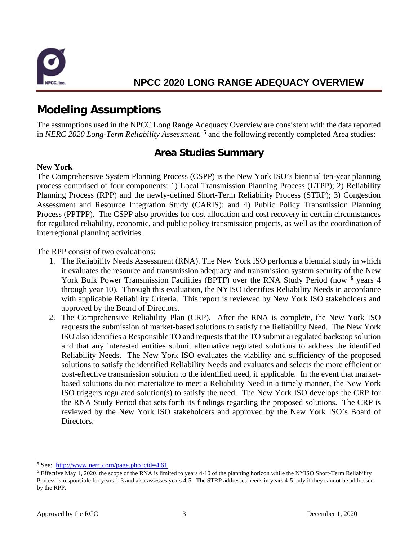

# <span id="page-4-0"></span>**Modeling Assumptions**

The assumptions used in the NPCC Long Range Adequacy Overview are consistent with the data reported in *NERC 2020 Long-Term Reliability Assessment.* **[5](#page-4-2)** and the following recently completed Area studies:

### **Area Studies Summary**

#### <span id="page-4-1"></span>**New York**

The Comprehensive System Planning Process (CSPP) is the New York ISO's biennial ten-year planning process comprised of four components: 1) Local Transmission Planning Process (LTPP); 2) Reliability Planning Process (RPP) and the newly-defined Short-Term Reliability Process (STRP); 3) Congestion Assessment and Resource Integration Study (CARIS); and 4) Public Policy Transmission Planning Process (PPTPP). The CSPP also provides for cost allocation and cost recovery in certain circumstances for regulated reliability, economic, and public policy transmission projects, as well as the coordination of interregional planning activities.

The RPP consist of two evaluations:

- 1. The Reliability Needs Assessment (RNA). The New York ISO performs a biennial study in which it evaluates the resource and transmission adequacy and transmission system security of the New York Bulk Power Transmission Facilities (BPTF) over the RNA Study Period (now **[6](#page-4-3)** years 4 through year 10). Through this evaluation, the NYISO identifies Reliability Needs in accordance with applicable Reliability Criteria. This report is reviewed by New York ISO stakeholders and approved by the Board of Directors.
- 2. The Comprehensive Reliability Plan (CRP). After the RNA is complete, the New York ISO requests the submission of market-based solutions to satisfy the Reliability Need. The New York ISO also identifies a Responsible TO and requests that the TO submit a regulated backstop solution and that any interested entities submit alternative regulated solutions to address the identified Reliability Needs. The New York ISO evaluates the viability and sufficiency of the proposed solutions to satisfy the identified Reliability Needs and evaluates and selects the more efficient or cost-effective transmission solution to the identified need, if applicable. In the event that marketbased solutions do not materialize to meet a Reliability Need in a timely manner, the New York ISO triggers regulated solution(s) to satisfy the need. The New York ISO develops the CRP for the RNA Study Period that sets forth its findings regarding the proposed solutions. The CRP is reviewed by the New York ISO stakeholders and approved by the New York ISO's Board of Directors.

<span id="page-4-2"></span><sup>5</sup> See: <http://www.nerc.com/page.php?cid=4|61>

<span id="page-4-3"></span><sup>6</sup> Effective May 1, 2020, the scope of the RNA is limited to years 4-10 of the planning horizon while the NYISO Short-Term Reliability Process is responsible for years 1-3 and also assesses years 4-5. The STRP addresses needs in years 4-5 only if they cannot be addressed by the RPP.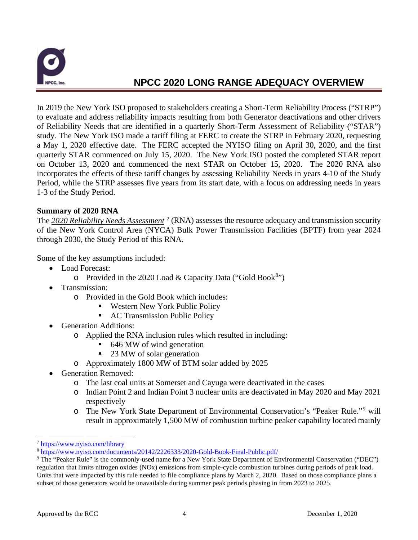

In 2019 the New York ISO proposed to stakeholders creating a Short-Term Reliability Process ("STRP") to evaluate and address reliability impacts resulting from both Generator deactivations and other drivers of Reliability Needs that are identified in a quarterly Short-Term Assessment of Reliability ("STAR") study. The New York ISO made a tariff filing at FERC to create the STRP in February 2020, requesting a May 1, 2020 effective date. The FERC accepted the NYISO filing on April 30, 2020, and the first quarterly STAR commenced on July 15, 2020. The New York ISO posted the completed STAR report on October 13, 2020 and commenced the next STAR on October 15, 2020. The 2020 RNA also incorporates the effects of these tariff changes by assessing Reliability Needs in years 4-10 of the Study Period, while the STRP assesses five years from its start date, with a focus on addressing needs in years 1-3 of the Study Period.

#### **Summary of 2020 RNA**

The *2020 Reliability Needs Assessment* **[7](#page-5-0)** (RNA) assesses the resource adequacy and transmission security of the New York Control Area (NYCA) Bulk Power Transmission Facilities (BPTF) from year 2024 through 2030, the Study Period of this RNA.

Some of the key assumptions included:

- Load Forecast:
	- o Provided in the 2020 Load & Capacity Data ("Gold Book<sup>[8](#page-5-1)</sup>")
- Transmission:
	- o Provided in the Gold Book which includes:
		- Western New York Public Policy
		- AC Transmission Public Policy
- Generation Additions:
	- o Applied the RNA inclusion rules which resulted in including:<br> $646$  MW of wind generation
		- 646 MW of wind generation
		- 23 MW of solar generation
	- o Approximately 1800 MW of BTM solar added by 2025
- Generation Removed:
	- o The last coal units at Somerset and Cayuga were deactivated in the cases
	- o Indian Point 2 and Indian Point 3 nuclear units are deactivated in May 2020 and May 2021 respectively
	- o The New York State Department of Environmental Conservation's "Peaker Rule."[9](#page-5-2) will result in approximately 1,500 MW of combustion turbine peaker capability located mainly

<span id="page-5-0"></span><sup>7</sup> <https://www.nyiso.com/library>

<span id="page-5-1"></span><sup>8</sup> <https://www.nyiso.com/documents/20142/2226333/2020-Gold-Book-Final-Public.pdf/>

<span id="page-5-2"></span><sup>9</sup> The "Peaker Rule" is the commonly-used name for a New York State Department of Environmental Conservation ("DEC") regulation that limits nitrogen oxides (NOx) emissions from simple-cycle combustion turbines during periods of peak load. Units that were impacted by this rule needed to file compliance plans by March 2, 2020. Based on those compliance plans a subset of those generators would be unavailable during summer peak periods phasing in from 2023 to 2025.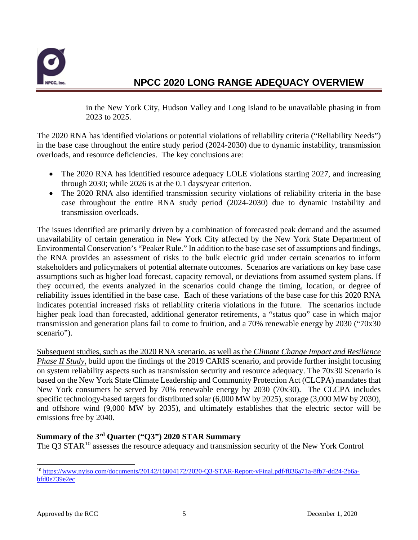

in the New York City, Hudson Valley and Long Island to be unavailable phasing in from 2023 to 2025.

The 2020 RNA has identified violations or potential violations of reliability criteria ("Reliability Needs") in the base case throughout the entire study period (2024-2030) due to dynamic instability, transmission overloads, and resource deficiencies. The key conclusions are:

- The 2020 RNA has identified resource adequacy LOLE violations starting 2027, and increasing through 2030; while 2026 is at the 0.1 days/year criterion.
- The 2020 RNA also identified transmission security violations of reliability criteria in the base case throughout the entire RNA study period (2024-2030) due to dynamic instability and transmission overloads.

The issues identified are primarily driven by a combination of forecasted peak demand and the assumed unavailability of certain generation in New York City affected by the New York State Department of Environmental Conservation's "Peaker Rule." In addition to the base case set of assumptions and findings, the RNA provides an assessment of risks to the bulk electric grid under certain scenarios to inform stakeholders and policymakers of potential alternate outcomes. Scenarios are variations on key base case assumptions such as higher load forecast, capacity removal, or deviations from assumed system plans. If they occurred, the events analyzed in the scenarios could change the timing, location, or degree of reliability issues identified in the base case. Each of these variations of the base case for this 2020 RNA indicates potential increased risks of reliability criteria violations in the future. The scenarios include higher peak load than forecasted, additional generator retirements, a "status quo" case in which major transmission and generation plans fail to come to fruition, and a 70% renewable energy by 2030 ("70x30 scenario").

Subsequent studies, such as the 2020 RNA scenario, as well as the *Climate Change Impact and Resilience Phase II Study*, build upon the findings of the 2019 CARIS scenario, and provide further insight focusing on system reliability aspects such as transmission security and resource adequacy. The 70x30 Scenario is based on the New York State Climate Leadership and Community Protection Act (CLCPA) mandates that New York consumers be served by 70% renewable energy by 2030 (70x30). The CLCPA includes specific technology-based targets for distributed solar (6,000 MW by 2025), storage (3,000 MW by 2030), and offshore wind (9,000 MW by 2035), and ultimately establishes that the electric sector will be emissions free by 2040.

#### **Summary of the 3rd Quarter ("Q3") 2020 STAR Summary**

The Q3 STAR<sup>[10](#page-6-0)</sup> assesses the resource adequacy and transmission security of the New York Control

<span id="page-6-0"></span><sup>10</sup> [https://www.nyiso.com/documents/20142/16004172/2020-Q3-STAR-Report-vFinal.pdf/f836a71a-8fb7-dd24-2b6a](https://www.nyiso.com/documents/20142/16004172/2020-Q3-STAR-Report-vFinal.pdf/f836a71a-8fb7-dd24-2b6a-bfd0e739e2ec)[bfd0e739e2ec](https://www.nyiso.com/documents/20142/16004172/2020-Q3-STAR-Report-vFinal.pdf/f836a71a-8fb7-dd24-2b6a-bfd0e739e2ec)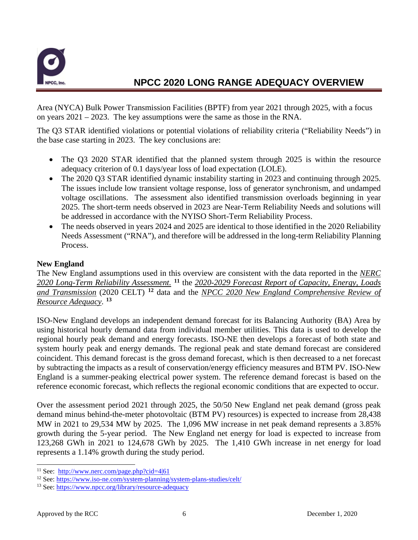

Area (NYCA) Bulk Power Transmission Facilities (BPTF) from year 2021 through 2025, with a focus on years 2021 – 2023. The key assumptions were the same as those in the RNA.

The Q3 STAR identified violations or potential violations of reliability criteria ("Reliability Needs") in the base case starting in 2023. The key conclusions are:

- The Q3 2020 STAR identified that the planned system through 2025 is within the resource adequacy criterion of 0.1 days/year loss of load expectation (LOLE).
- The 2020 Q3 STAR identified dynamic instability starting in 2023 and continuing through 2025. The issues include low transient voltage response, loss of generator synchronism, and undamped voltage oscillations. The assessment also identified transmission overloads beginning in year 2025. The short-term needs observed in 2023 are Near-Term Reliability Needs and solutions will be addressed in accordance with the NYISO Short-Term Reliability Process.
- The needs observed in years 2024 and 2025 are identical to those identified in the 2020 Reliability Needs Assessment ("RNA"), and therefore will be addressed in the long-term Reliability Planning Process.

#### **New England**

The New England assumptions used in this overview are consistent with the data reported in the *NERC 2020 Long-Term Reliability Assessment.* **[11](#page-7-0)** the *2020-2029 Forecast Report of Capacity, Energy, Loads and Transmission* (2020 CELT) **[12](#page-7-1)** data and the *NPCC 2020 New England Comprehensive Review of Resource Adequacy*. **[13](#page-7-2)**

ISO-New England develops an independent demand forecast for its Balancing Authority (BA) Area by using historical hourly demand data from individual member utilities. This data is used to develop the regional hourly peak demand and energy forecasts. ISO-NE then develops a forecast of both state and system hourly peak and energy demands. The regional peak and state demand forecast are considered coincident. This demand forecast is the gross demand forecast, which is then decreased to a net forecast by subtracting the impacts as a result of conservation/energy efficiency measures and BTM PV. ISO-New England is a summer-peaking electrical power system. The reference demand forecast is based on the reference economic forecast, which reflects the regional economic conditions that are expected to occur.

Over the assessment period 2021 through 2025, the 50/50 New England net peak demand (gross peak demand minus behind-the-meter photovoltaic (BTM PV) resources) is expected to increase from 28,438 MW in 2021 to 29,534 MW by 2025. The 1,096 MW increase in net peak demand represents a 3.85% growth during the 5-year period. The New England net energy for load is expected to increase from 123,268 GWh in 2021 to 124,678 GWh by 2025. The 1,410 GWh increase in net energy for load represents a 1.14% growth during the study period.

<span id="page-7-0"></span><sup>11</sup> See: <http://www.nerc.com/page.php?cid=4|61>

<span id="page-7-1"></span><sup>&</sup>lt;sup>12</sup> See[: https://www.iso-ne.com/system-planning/system-plans-studies/celt/](https://www.iso-ne.com/system-planning/system-plans-studies/celt/)

<span id="page-7-2"></span><sup>13</sup> See[: https://www.npcc.org/library/resource-adequacy](https://www.npcc.org/library/resource-adequacy)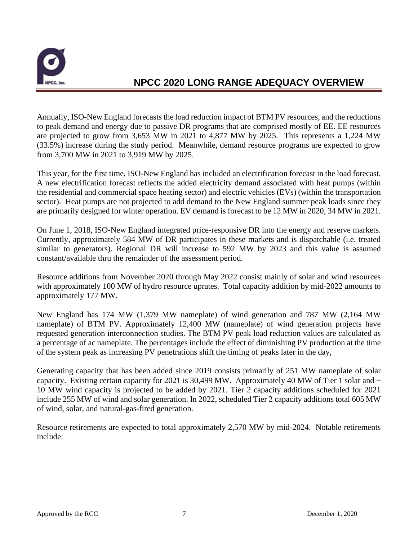

Annually, ISO-New England forecasts the load reduction impact of BTM PV resources, and the reductions to peak demand and energy due to passive DR programs that are comprised mostly of EE. EE resources are projected to grow from 3,653 MW in 2021 to 4,877 MW by 2025. This represents a 1,224 MW (33.5%) increase during the study period. Meanwhile, demand resource programs are expected to grow from 3,700 MW in 2021 to 3,919 MW by 2025.

This year, for the first time, ISO-New England has included an electrification forecast in the load forecast. A new electrification forecast reflects the added electricity demand associated with heat pumps (within the residential and commercial space heating sector) and electric vehicles (EVs) (within the transportation sector). Heat pumps are not projected to add demand to the New England summer peak loads since they are primarily designed for winter operation. EV demand is forecast to be 12 MW in 2020, 34 MW in 2021.

On June 1, 2018, ISO-New England integrated price-responsive DR into the energy and reserve markets. Currently, approximately 584 MW of DR participates in these markets and is dispatchable (i.e. treated similar to generators). Regional DR will increase to 592 MW by 2023 and this value is assumed constant/available thru the remainder of the assessment period.

Resource additions from November 2020 through May 2022 consist mainly of solar and wind resources with approximately 100 MW of hydro resource uprates. Total capacity addition by mid-2022 amounts to approximately 177 MW.

New England has 174 MW (1,379 MW nameplate) of wind generation and 787 MW (2,164 MW nameplate) of BTM PV. Approximately 12,400 MW (nameplate) of wind generation projects have requested generation interconnection studies. The BTM PV peak load reduction values are calculated as a percentage of ac nameplate. The percentages include the effect of diminishing PV production at the time of the system peak as increasing PV penetrations shift the timing of peaks later in the day,

Generating capacity that has been added since 2019 consists primarily of 251 MW nameplate of solar capacity. Existing certain capacity for 2021 is 30,499 MW. Approximately 40 MW of Tier 1 solar and  $\sim$ 10 MW wind capacity is projected to be added by 2021. Tier 2 capacity additions scheduled for 2021 include 255 MW of wind and solar generation. In 2022, scheduled Tier 2 capacity additions total 605 MW of wind, solar, and natural-gas-fired generation.

Resource retirements are expected to total approximately 2,570 MW by mid-2024. Notable retirements include: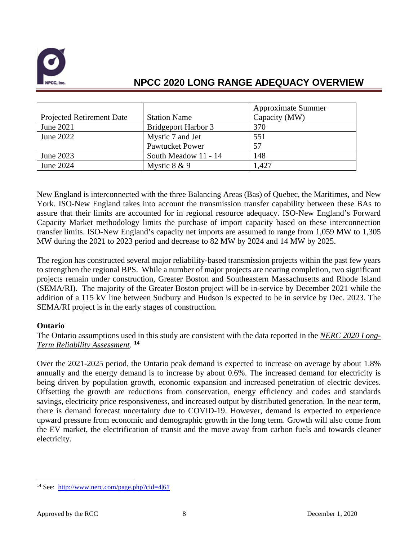

|                                  |                            | <b>Approximate Summer</b> |
|----------------------------------|----------------------------|---------------------------|
| <b>Projected Retirement Date</b> | <b>Station Name</b>        | Capacity (MW)             |
| June 2021                        | <b>Bridgeport Harbor 3</b> | 370                       |
| June 2022                        | Mystic 7 and Jet           | 551                       |
|                                  | <b>Pawtucket Power</b>     | 57                        |
| June 2023                        | South Meadow 11 - 14       | 148                       |
| June 2024                        | Mystic $8 & 9$             | 1,427                     |

New England is interconnected with the three Balancing Areas (Bas) of Quebec, the Maritimes, and New York. ISO-New England takes into account the transmission transfer capability between these BAs to assure that their limits are accounted for in regional resource adequacy. ISO-New England's Forward Capacity Market methodology limits the purchase of import capacity based on these interconnection transfer limits. ISO-New England's capacity net imports are assumed to range from 1,059 MW to 1,305 MW during the 2021 to 2023 period and decrease to 82 MW by 2024 and 14 MW by 2025.

The region has constructed several major reliability-based transmission projects within the past few years to strengthen the regional BPS. While a number of major projects are nearing completion, two significant projects remain under construction, Greater Boston and Southeastern Massachusetts and Rhode Island (SEMA/RI). The majority of the Greater Boston project will be in-service by December 2021 while the addition of a 115 kV line between Sudbury and Hudson is expected to be in service by Dec. 2023. The SEMA/RI project is in the early stages of construction.

#### **Ontario**

The Ontario assumptions used in this study are consistent with the data reported in the *NERC 2020 Long-Term Reliability Assessment*. **[14](#page-9-0)**

Over the 2021-2025 period, the Ontario peak demand is expected to increase on average by about 1.8% annually and the energy demand is to increase by about 0.6%. The increased demand for electricity is being driven by population growth, economic expansion and increased penetration of electric devices. Offsetting the growth are reductions from conservation, energy efficiency and codes and standards savings, electricity price responsiveness, and increased output by distributed generation. In the near term, there is demand forecast uncertainty due to COVID-19. However, demand is expected to experience upward pressure from economic and demographic growth in the long term. Growth will also come from the EV market, the electrification of transit and the move away from carbon fuels and towards cleaner electricity.

<span id="page-9-0"></span><sup>14</sup> See: <http://www.nerc.com/page.php?cid=4|61>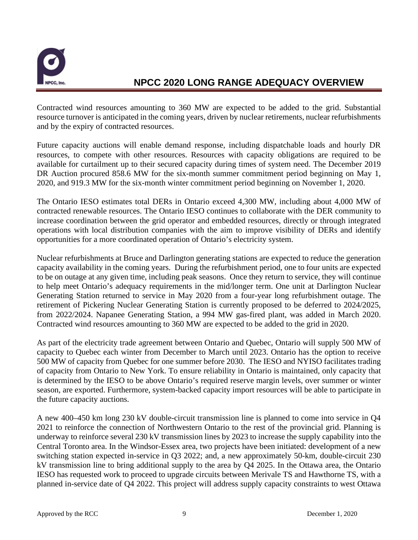

Contracted wind resources amounting to 360 MW are expected to be added to the grid. Substantial resource turnover is anticipated in the coming years, driven by nuclear retirements, nuclear refurbishments and by the expiry of contracted resources.

Future capacity auctions will enable demand response, including dispatchable loads and hourly DR resources, to compete with other resources. Resources with capacity obligations are required to be available for curtailment up to their secured capacity during times of system need. The December 2019 DR Auction procured 858.6 MW for the six-month summer commitment period beginning on May 1, 2020, and 919.3 MW for the six-month winter commitment period beginning on November 1, 2020.

The Ontario IESO estimates total DERs in Ontario exceed 4,300 MW, including about 4,000 MW of contracted renewable resources. The Ontario IESO continues to collaborate with the DER community to increase coordination between the grid operator and embedded resources, directly or through integrated operations with local distribution companies with the aim to improve visibility of DERs and identify opportunities for a more coordinated operation of Ontario's electricity system.

Nuclear refurbishments at Bruce and Darlington generating stations are expected to reduce the generation capacity availability in the coming years. During the refurbishment period, one to four units are expected to be on outage at any given time, including peak seasons. Once they return to service, they will continue to help meet Ontario's adequacy requirements in the mid/longer term. One unit at Darlington Nuclear Generating Station returned to service in May 2020 from a four-year long refurbishment outage. The retirement of Pickering Nuclear Generating Station is currently proposed to be deferred to 2024/2025, from 2022/2024. Napanee Generating Station, a 994 MW gas-fired plant, was added in March 2020. Contracted wind resources amounting to 360 MW are expected to be added to the grid in 2020.

As part of the electricity trade agreement between Ontario and Quebec, Ontario will supply 500 MW of capacity to Quebec each winter from December to March until 2023. Ontario has the option to receive 500 MW of capacity from Quebec for one summer before 2030. The IESO and NYISO facilitates trading of capacity from Ontario to New York. To ensure reliability in Ontario is maintained, only capacity that is determined by the IESO to be above Ontario's required reserve margin levels, over summer or winter season, are exported. Furthermore, system-backed capacity import resources will be able to participate in the future capacity auctions.

A new 400–450 km long 230 kV double-circuit transmission line is planned to come into service in Q4 2021 to reinforce the connection of Northwestern Ontario to the rest of the provincial grid. Planning is underway to reinforce several 230 kV transmission lines by 2023 to increase the supply capability into the Central Toronto area. In the Windsor-Essex area, two projects have been initiated: development of a new switching station expected in-service in Q3 2022; and, a new approximately 50-km, double-circuit 230 kV transmission line to bring additional supply to the area by Q4 2025. In the Ottawa area, the Ontario IESO has requested work to proceed to upgrade circuits between Merivale TS and Hawthorne TS, with a planned in-service date of Q4 2022. This project will address supply capacity constraints to west Ottawa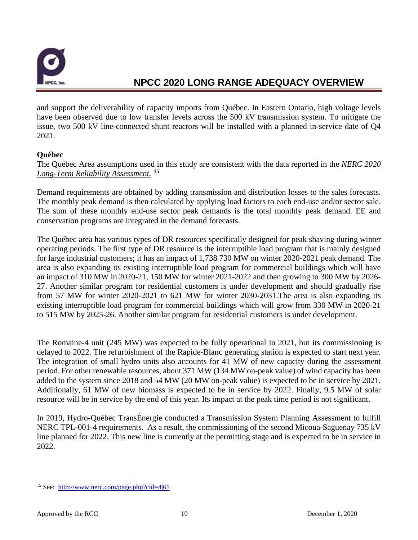

and support the deliverability of capacity imports from Québec. In Eastern Ontario, high voltage levels have been observed due to low transfer levels across the 500 kV transmission system. To mitigate the issue, two 500 kV line-connected shunt reactors will be installed with a planned in-service date of Q4 2021.

#### **Québec**

The Québec Area assumptions used in this study are consistent with the data reported in the *NERC 2020 Long-Term Reliability Assessment.* **[15](#page-11-0)**

Demand requirements are obtained by adding transmission and distribution losses to the sales forecasts. The monthly peak demand is then calculated by applying load factors to each end-use and/or sector sale. The sum of these monthly end-use sector peak demands is the total monthly peak demand. EE and conservation programs are integrated in the demand forecasts.

The Québec area has various types of DR resources specifically designed for peak shaving during winter operating periods. The first type of DR resource is the interruptible load program that is mainly designed for large industrial customers; it has an impact of 1,738 730 MW on winter 2020-2021 peak demand. The area is also expanding its existing interruptible load program for commercial buildings which will have an impact of 310 MW in 2020-21, 150 MW for winter 2021-2022 and then growing to 300 MW by 2026- 27. Another similar program for residential customers is under development and should gradually rise from 57 MW for winter 2020-2021 to 621 MW for winter 2030-2031.The area is also expanding its existing interruptible load program for commercial buildings which will grow from 330 MW in 2020-21 to 515 MW by 2025-26. Another similar program for residential customers is under development.

The Romaine-4 unit (245 MW) was expected to be fully operational in 2021, but its commissioning is delayed to 2022. The refurbishment of the Rapide-Blanc generating station is expected to start next year. The integration of small hydro units also accounts for 41 MW of new capacity during the assessment period. For other renewable resources, about 371 MW (134 MW on-peak value) of wind capacity has been added to the system since 2018 and 54 MW (20 MW on-peak value) is expected to be in service by 2021. Additionally, 61 MW of new biomass is expected to be in service by 2022. Finally, 9.5 MW of solar resource will be in service by the end of this year. Its impact at the peak time period is not significant.

In 2019, Hydro-Québec TransÉnergie conducted a Transmission System Planning Assessment to fulfill NERC TPL-001-4 requirements. As a result, the commissioning of the second Micoua-Saguenay 735 kV line planned for 2022. This new line is currently at the permitting stage and is expected to be in service in 2022.

<span id="page-11-0"></span><sup>15</sup> See: <http://www.nerc.com/page.php?cid=4|61>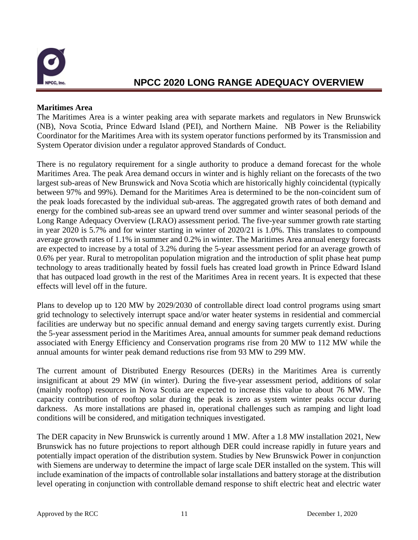

#### **Maritimes Area**

The Maritimes Area is a winter peaking area with separate markets and regulators in New Brunswick (NB), Nova Scotia, Prince Edward Island (PEI), and Northern Maine. NB Power is the Reliability Coordinator for the Maritimes Area with its system operator functions performed by its Transmission and System Operator division under a regulator approved Standards of Conduct.

There is no regulatory requirement for a single authority to produce a demand forecast for the whole Maritimes Area. The peak Area demand occurs in winter and is highly reliant on the forecasts of the two largest sub-areas of New Brunswick and Nova Scotia which are historically highly coincidental (typically between 97% and 99%). Demand for the Maritimes Area is determined to be the non-coincident sum of the peak loads forecasted by the individual sub-areas. The aggregated growth rates of both demand and energy for the combined sub-areas see an upward trend over summer and winter seasonal periods of the Long Range Adequacy Overview (LRAO) assessment period. The five-year summer growth rate starting in year 2020 is 5.7% and for winter starting in winter of 2020/21 is 1.0%. This translates to compound average growth rates of 1.1% in summer and 0.2% in winter. The Maritimes Area annual energy forecasts are expected to increase by a total of 3.2% during the 5-year assessment period for an average growth of 0.6% per year. Rural to metropolitan population migration and the introduction of split phase heat pump technology to areas traditionally heated by fossil fuels has created load growth in Prince Edward Island that has outpaced load growth in the rest of the Maritimes Area in recent years. It is expected that these effects will level off in the future.

Plans to develop up to 120 MW by 2029/2030 of controllable direct load control programs using smart grid technology to selectively interrupt space and/or water heater systems in residential and commercial facilities are underway but no specific annual demand and energy saving targets currently exist. During the 5-year assessment period in the Maritimes Area, annual amounts for summer peak demand reductions associated with Energy Efficiency and Conservation programs rise from 20 MW to 112 MW while the annual amounts for winter peak demand reductions rise from 93 MW to 299 MW.

The current amount of Distributed Energy Resources (DERs) in the Maritimes Area is currently insignificant at about 29 MW (in winter). During the five-year assessment period, additions of solar (mainly rooftop) resources in Nova Scotia are expected to increase this value to about 76 MW. The capacity contribution of rooftop solar during the peak is zero as system winter peaks occur during darkness. As more installations are phased in, operational challenges such as ramping and light load conditions will be considered, and mitigation techniques investigated.

The DER capacity in New Brunswick is currently around 1 MW. After a 1.8 MW installation 2021, New Brunswick has no future projections to report although DER could increase rapidly in future years and potentially impact operation of the distribution system. Studies by New Brunswick Power in conjunction with Siemens are underway to determine the impact of large scale DER installed on the system. This will include examination of the impacts of controllable solar installations and battery storage at the distribution level operating in conjunction with controllable demand response to shift electric heat and electric water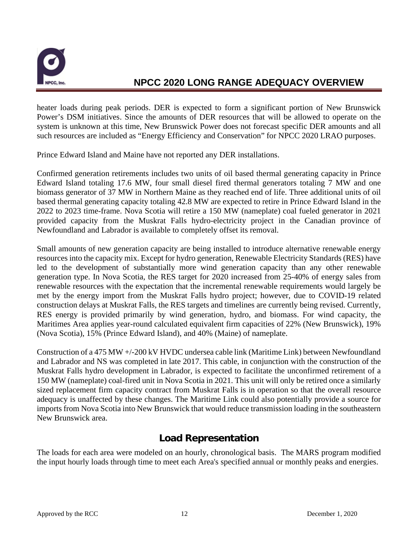

heater loads during peak periods. DER is expected to form a significant portion of New Brunswick Power's DSM initiatives. Since the amounts of DER resources that will be allowed to operate on the system is unknown at this time, New Brunswick Power does not forecast specific DER amounts and all such resources are included as "Energy Efficiency and Conservation" for NPCC 2020 LRAO purposes.

Prince Edward Island and Maine have not reported any DER installations.

Confirmed generation retirements includes two units of oil based thermal generating capacity in Prince Edward Island totaling 17.6 MW, four small diesel fired thermal generators totaling 7 MW and one biomass generator of 37 MW in Northern Maine as they reached end of life. Three additional units of oil based thermal generating capacity totaling 42.8 MW are expected to retire in Prince Edward Island in the 2022 to 2023 time-frame. Nova Scotia will retire a 150 MW (nameplate) coal fueled generator in 2021 provided capacity from the Muskrat Falls hydro-electricity project in the Canadian province of Newfoundland and Labrador is available to completely offset its removal.

Small amounts of new generation capacity are being installed to introduce alternative renewable energy resources into the capacity mix. Except for hydro generation, Renewable Electricity Standards (RES) have led to the development of substantially more wind generation capacity than any other renewable generation type. In Nova Scotia, the RES target for 2020 increased from 25-40% of energy sales from renewable resources with the expectation that the incremental renewable requirements would largely be met by the energy import from the Muskrat Falls hydro project; however, due to COVID-19 related construction delays at Muskrat Falls, the RES targets and timelines are currently being revised. Currently, RES energy is provided primarily by wind generation, hydro, and biomass. For wind capacity, the Maritimes Area applies year-round calculated equivalent firm capacities of 22% (New Brunswick), 19% (Nova Scotia), 15% (Prince Edward Island), and 40% (Maine) of nameplate.

Construction of a 475 MW +/-200 kV HVDC undersea cable link (Maritime Link) between Newfoundland and Labrador and NS was completed in late 2017. This cable, in conjunction with the construction of the Muskrat Falls hydro development in Labrador, is expected to facilitate the unconfirmed retirement of a 150 MW (nameplate) coal-fired unit in Nova Scotia in 2021. This unit will only be retired once a similarly sized replacement firm capacity contract from Muskrat Falls is in operation so that the overall resource adequacy is unaffected by these changes. The Maritime Link could also potentially provide a source for imports from Nova Scotia into New Brunswick that would reduce transmission loading in the southeastern New Brunswick area.

### **Load Representation**

<span id="page-13-1"></span><span id="page-13-0"></span>The loads for each area were modeled on an hourly, chronological basis. The MARS program modified the input hourly loads through time to meet each Area's specified annual or monthly peaks and energies.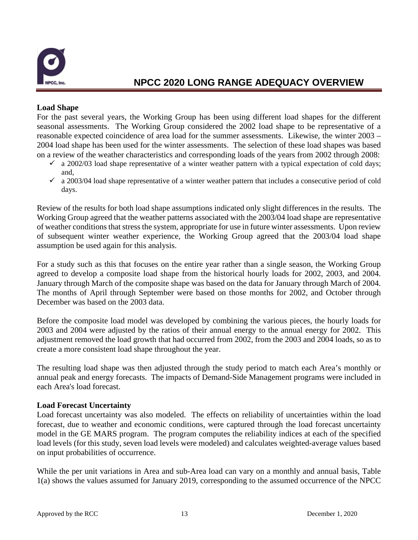

#### **Load Shape**

For the past several years, the Working Group has been using different load shapes for the different seasonal assessments. The Working Group considered the 2002 load shape to be representative of a reasonable expected coincidence of area load for the summer assessments. Likewise, the winter 2003 – 2004 load shape has been used for the winter assessments. The selection of these load shapes was based on a review of the weather characteristics and corresponding loads of the years from 2002 through 2008:

- $\checkmark$  a 2002/03 load shape representative of a winter weather pattern with a typical expectation of cold days; and,
- $\checkmark$  a 2003/04 load shape representative of a winter weather pattern that includes a consecutive period of cold days.

Review of the results for both load shape assumptions indicated only slight differences in the results. The Working Group agreed that the weather patterns associated with the 2003/04 load shape are representative of weather conditions that stress the system, appropriate for use in future winter assessments. Upon review of subsequent winter weather experience, the Working Group agreed that the 2003/04 load shape assumption be used again for this analysis.

For a study such as this that focuses on the entire year rather than a single season, the Working Group agreed to develop a composite load shape from the historical hourly loads for 2002, 2003, and 2004. January through March of the composite shape was based on the data for January through March of 2004. The months of April through September were based on those months for 2002, and October through December was based on the 2003 data.

Before the composite load model was developed by combining the various pieces, the hourly loads for 2003 and 2004 were adjusted by the ratios of their annual energy to the annual energy for 2002. This adjustment removed the load growth that had occurred from 2002, from the 2003 and 2004 loads, so as to create a more consistent load shape throughout the year.

The resulting load shape was then adjusted through the study period to match each Area's monthly or annual peak and energy forecasts. The impacts of Demand-Side Management programs were included in each Area's load forecast.

#### <span id="page-14-0"></span>**Load Forecast Uncertainty**

Load forecast uncertainty was also modeled.The effects on reliability of uncertainties within the load forecast, due to weather and economic conditions, were captured through the load forecast uncertainty model in the GE MARS program. The program computes the reliability indices at each of the specified load levels (for this study, seven load levels were modeled) and calculates weighted-average values based on input probabilities of occurrence.

While the per unit variations in Area and sub-Area load can vary on a monthly and annual basis, Table 1(a) shows the values assumed for January 2019, corresponding to the assumed occurrence of the NPCC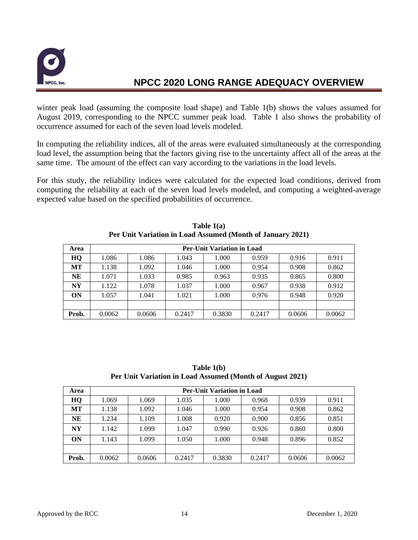

winter peak load (assuming the composite load shape) and Table 1(b) shows the values assumed for August 2019, corresponding to the NPCC summer peak load. Table 1 also shows the probability of occurrence assumed for each of the seven load levels modeled.

In computing the reliability indices, all of the areas were evaluated simultaneously at the corresponding load level, the assumption being that the factors giving rise to the uncertainty affect all of the areas at the same time. The amount of the effect can vary according to the variations in the load levels.

For this study, the reliability indices were calculated for the expected load conditions, derived from computing the reliability at each of the seven load levels modeled, and computing a weighted-average expected value based on the specified probabilities of occurrence.

| Area      | <b>Per-Unit Variation in Load</b> |        |        |        |        |        |        |  |  |
|-----------|-----------------------------------|--------|--------|--------|--------|--------|--------|--|--|
| HQ        | 1.086                             | 1.086  | 1.043  | 1.000  | 0.959  | 0.916  | 0.911  |  |  |
| MT        | 1.138                             | 1.092  | 1.046  | 1.000  | 0.954  | 0.908  | 0.862  |  |  |
| <b>NE</b> | 1.071                             | 1.033  | 0.985  | 0.963  | 0.935  | 0.865  | 0.800  |  |  |
| NY        | 1.122                             | 1.078  | 1.037  | 1.000  | 0.967  | 0.938  | 0.912  |  |  |
| ON        | 1.057                             | 1.041  | 1.021  | 1.000  | 0.976  | 0.948  | 0.920  |  |  |
|           |                                   |        |        |        |        |        |        |  |  |
| Prob.     | 0.0062                            | 0.0606 | 0.2417 | 0.3830 | 0.2417 | 0.0606 | 0.0062 |  |  |

**Table 1(a) Per Unit Variation in Load Assumed (Month of January 2021)**

**Table 1(b) Per Unit Variation in Load Assumed (Month of August 2021)**

| Area      | <b>Per-Unit Variation in Load</b> |        |        |        |        |        |        |  |  |
|-----------|-----------------------------------|--------|--------|--------|--------|--------|--------|--|--|
| HQ        | 1.069                             | 1.069  | 1.035  | 1.000  | 0.968  | 0.939  | 0.911  |  |  |
| MТ        | 1.138                             | 1.092  | 1.046  | 1.000  | 0.954  | 0.908  | 0.862  |  |  |
| NE        | 1.234                             | 1.109  | 1.008  | 0.920  | 0.900  | 0.856  | 0.851  |  |  |
| <b>NY</b> | 1.142                             | 1.099  | 1.047  | 0.990  | 0.926  | 0.860  | 0.800  |  |  |
| ON        | 1.143                             | 1.099  | 1.050  | 1.000  | 0.948  | 0.896  | 0.852  |  |  |
|           |                                   |        |        |        |        |        |        |  |  |
| Prob.     | 0.0062                            | 0.0606 | 0.2417 | 0.3830 | 0.2417 | 0.0606 | 0.0062 |  |  |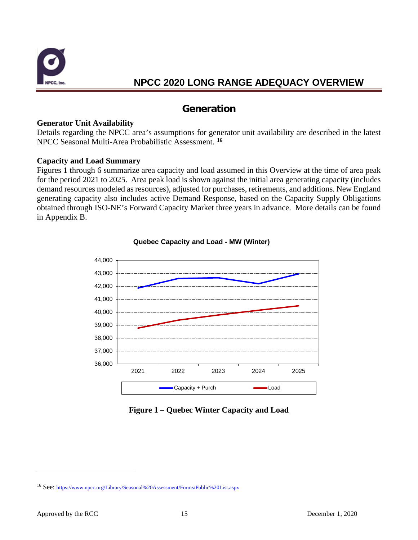

### **Generation**

#### <span id="page-16-1"></span><span id="page-16-0"></span>**Generator Unit Availability**

Details regarding the NPCC area's assumptions for generator unit availability are described in the latest NPCC Seasonal Multi-Area Probabilistic Assessment. **[16](#page-16-3)**

#### <span id="page-16-2"></span>**Capacity and Load Summary**

Figures 1 through 6 summarize area capacity and load assumed in this Overview at the time of area peak for the period 2021 to 2025. Area peak load is shown against the initial area generating capacity (includes demand resources modeled as resources), adjusted for purchases, retirements, and additions. New England generating capacity also includes active Demand Response, based on the Capacity Supply Obligations obtained through ISO-NE's Forward Capacity Market three years in advance. More details can be found in Appendix B.



#### **Quebec Capacity and Load - MW (Winter)**

**Figure 1 – Quebec Winter Capacity and Load**

<span id="page-16-3"></span><sup>16</sup> See[: https://www.npcc.org/Library/Seasonal%20Assessment/Forms/Public%20List.aspx](https://www.npcc.org/Library/Seasonal%20Assessment/Forms/Public%20List.aspx)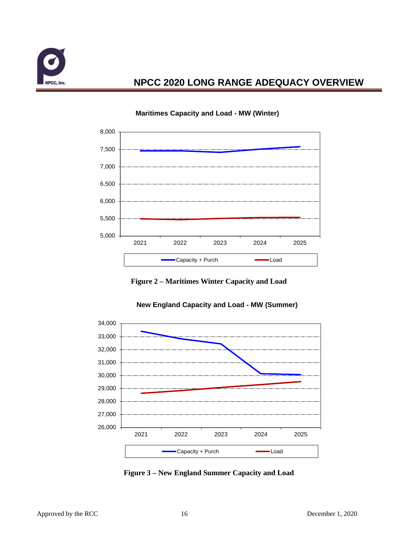



#### **Maritimes Capacity and Load - MW (Winter)**

**Figure 2 – Maritimes Winter Capacity and Load**



#### **New England Capacity and Load - MW (Summer)**

**Figure 3 – New England Summer Capacity and Load**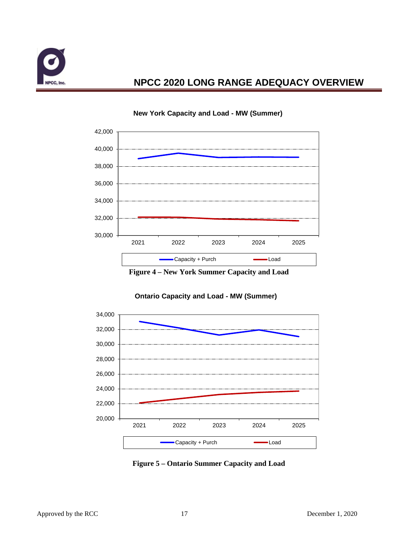



#### **New York Capacity and Load - MW (Summer)**



#### **Ontario Capacity and Load - MW (Summer)**

**Figure 5 – Ontario Summer Capacity and Load**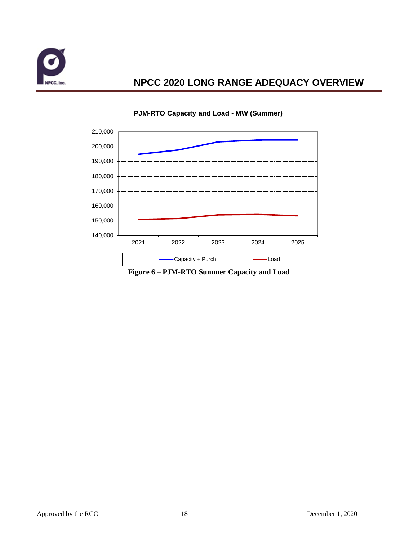



#### **PJM-RTO Capacity and Load - MW (Summer)**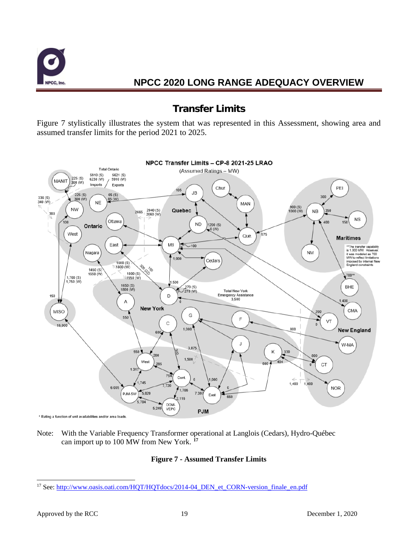

### **Transfer Limits**

<span id="page-20-0"></span>Figure 7 stylistically illustrates the system that was represented in this Assessment, showing area and assumed transfer limits for the period 2021 to 2025.



Note: With the Variable Frequency Transformer operational at Langlois (Cedars), Hydro-Québec can import up to 100 MW from New York. **[17](#page-20-1)**

#### **Figure 7 - Assumed Transfer Limits**

<span id="page-20-1"></span><sup>&</sup>lt;sup>17</sup> See[: http://www.oasis.oati.com/HQT/HQTdocs/2014-04\\_DEN\\_et\\_CORN-version\\_finale\\_en.pdf](http://www.oasis.oati.com/HQT/HQTdocs/2014-04_DEN_et_CORN-version_finale_en.pdf)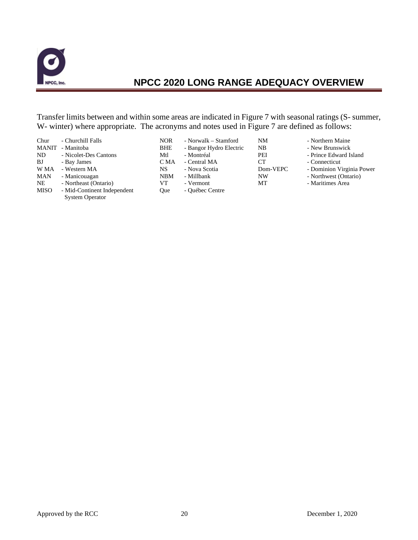

Transfer limits between and within some areas are indicated in Figure 7 with seasonal ratings (S- summer, W- winter) where appropriate. The acronyms and notes used in Figure 7 are defined as follows:

| Chur<br><b>MANIT</b><br>ND.<br>BJ | - Churchill Falls<br>- Manitoba<br>- Nicolet-Des Cantons<br>- Bay James | <b>NOR</b><br><b>BHE</b><br>Mtl<br>C MA | - Norwalk – Stamford<br>- Bangor Hydro Electric<br>- Montréal<br>- Central MA | NΜ<br>NB<br>PEI<br>CТ | - Northern Maine<br>- New Brunswick<br>- Prince Edward Island<br>- Connecticut |
|-----------------------------------|-------------------------------------------------------------------------|-----------------------------------------|-------------------------------------------------------------------------------|-----------------------|--------------------------------------------------------------------------------|
| W MA                              | - Western MA                                                            | NS                                      | - Nova Scotia                                                                 | Dom-VEPC              | - Dominion Virginia Power                                                      |
| MAN                               | - Manicouagan                                                           | <b>NBM</b>                              | - Millbank                                                                    | NW                    | - Northwest (Ontario)                                                          |
| <b>NE</b>                         | - Northeast (Ontario)                                                   | VT                                      | - Vermont                                                                     | MТ                    | - Maritimes Area                                                               |
| <b>MISO</b>                       | - Mid-Continent Independent<br><b>System Operator</b>                   | <b>Oue</b>                              | - Québec Centre                                                               |                       |                                                                                |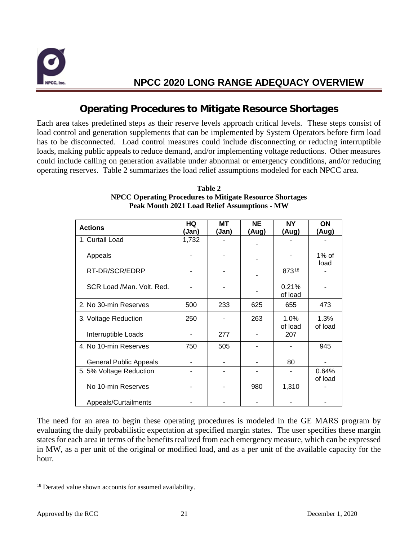

### **Operating Procedures to Mitigate Resource Shortages**

<span id="page-22-0"></span>Each area takes predefined steps as their reserve levels approach critical levels. These steps consist of load control and generation supplements that can be implemented by System Operators before firm load has to be disconnected. Load control measures could include disconnecting or reducing interruptible loads, making public appeals to reduce demand, and/or implementing voltage reductions. Other measures could include calling on generation available under abnormal or emergency conditions, and/or reducing operating reserves. Table 2 summarizes the load relief assumptions modeled for each NPCC area.

| <b>Actions</b>                | HQ    | MТ    | NΕ    | NΥ               | ON               |
|-------------------------------|-------|-------|-------|------------------|------------------|
|                               | (Jan) | (Jan) | (Aug) | (Aug)            | (Aug)            |
| 1. Curtail Load               | 1,732 |       |       |                  |                  |
| Appeals                       |       |       |       |                  | $1\%$ of<br>load |
| RT-DR/SCR/EDRP                |       |       |       | 87318            |                  |
| SCR Load /Man. Volt. Red.     |       |       |       | 0.21%<br>of load |                  |
| 2. No 30-min Reserves         | 500   | 233   | 625   | 655              | 473              |
| 3. Voltage Reduction          | 250   |       | 263   | 1.0%<br>of load  | 1.3%<br>of load  |
| Interruptible Loads           |       | 277   |       | 207              |                  |
| 4. No 10-min Reserves         | 750   | 505   |       |                  | 945              |
| <b>General Public Appeals</b> |       |       |       | 80               |                  |
| 5.5% Voltage Reduction        |       |       |       |                  | 0.64%            |
| No 10-min Reserves            |       |       | 980   | 1,310            | of load          |
| Appeals/Curtailments          |       |       |       |                  |                  |

#### **Table 2 NPCC Operating Procedures to Mitigate Resource Shortages Peak Month 2021 Load Relief Assumptions - MW**

The need for an area to begin these operating procedures is modeled in the GE MARS program by evaluating the daily probabilistic expectation at specified margin states. The user specifies these margin states for each area in terms of the benefits realized from each emergency measure, which can be expressed in MW, as a per unit of the original or modified load, and as a per unit of the available capacity for the hour.

<span id="page-22-1"></span><sup>&</sup>lt;sup>18</sup> Derated value shown accounts for assumed availability.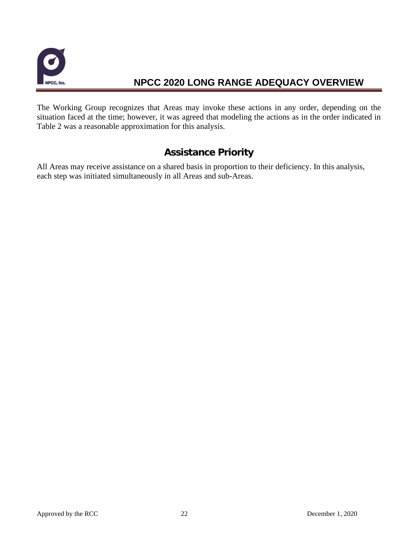

The Working Group recognizes that Areas may invoke these actions in any order, depending on the situation faced at the time; however, it was agreed that modeling the actions as in the order indicated in Table 2 was a reasonable approximation for this analysis.

### **Assistance Priority**

<span id="page-23-0"></span>All Areas may receive assistance on a shared basis in proportion to their deficiency. In this analysis, each step was initiated simultaneously in all Areas and sub-Areas.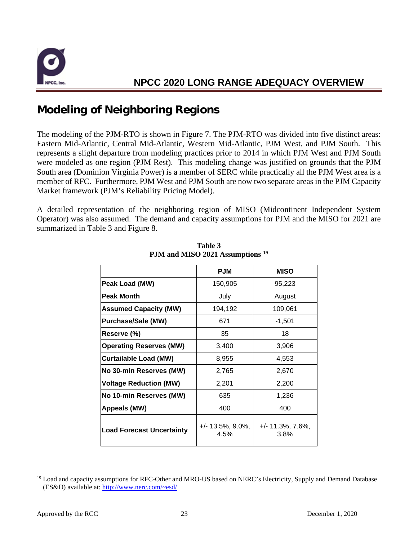

# <span id="page-24-0"></span>**Modeling of Neighboring Regions**

The modeling of the PJM-RTO is shown in Figure 7. The PJM-RTO was divided into five distinct areas: Eastern Mid-Atlantic, Central Mid-Atlantic, Western Mid-Atlantic, PJM West, and PJM South. This represents a slight departure from modeling practices prior to 2014 in which PJM West and PJM South were modeled as one region (PJM Rest). This modeling change was justified on grounds that the PJM South area (Dominion Virginia Power) is a member of SERC while practically all the PJM West area is a member of RFC. Furthermore, PJM West and PJM South are now two separate areas in the PJM Capacity Market framework (PJM's Reliability Pricing Model).

A detailed representation of the neighboring region of MISO (Midcontinent Independent System Operator) was also assumed. The demand and capacity assumptions for PJM and the MISO for 2021 are summarized in Table 3 and Figure 8.

|                                  | <b>PJM</b>                   | <b>MISO</b>                  |
|----------------------------------|------------------------------|------------------------------|
| Peak Load (MW)                   | 150,905                      | 95,223                       |
| <b>Peak Month</b>                | July                         | August                       |
| <b>Assumed Capacity (MW)</b>     | 194,192                      | 109,061                      |
| <b>Purchase/Sale (MW)</b>        | 671                          | $-1,501$                     |
| Reserve (%)                      | 35                           | 18                           |
| <b>Operating Reserves (MW)</b>   | 3,400                        | 3,906                        |
| <b>Curtailable Load (MW)</b>     | 8,955                        | 4,553                        |
| No 30-min Reserves (MW)          | 2,765                        | 2,670                        |
| <b>Voltage Reduction (MW)</b>    | 2,201                        | 2,200                        |
| No 10-min Reserves (MW)          | 635                          | 1,236                        |
| Appeals (MW)                     | 400                          | 400                          |
| <b>Load Forecast Uncertainty</b> | $+/- 13.5\%, 9.0\%,$<br>4.5% | $+/- 11.3\%, 7.6\%,$<br>3.8% |

**Table 3 PJM and MISO 2021 Assumptions [19](#page-24-1)**

<span id="page-24-1"></span><sup>&</sup>lt;sup>19</sup> Load and capacity assumptions for RFC-Other and MRO-US based on NERC's Electricity, Supply and Demand Database (ES&D) available at: [http://www.nerc.com/~esd/](http://www.nerc.com/%7Eesd/)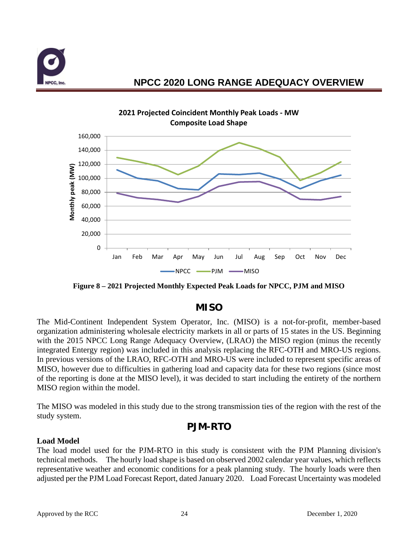



**Figure 8 – 2021 Projected Monthly Expected Peak Loads for NPCC, PJM and MISO**

### **MISO**

<span id="page-25-0"></span>The Mid-Continent Independent System Operator, Inc. (MISO) is a not-for-profit, member-based organization administering wholesale electricity markets in all or parts of 15 states in the US. Beginning with the 2015 NPCC Long Range Adequacy Overview, (LRAO) the MISO region (minus the recently integrated Entergy region) was included in this analysis replacing the RFC-OTH and MRO-US regions. In previous versions of the LRAO, RFC-OTH and MRO-US were included to represent specific areas of MISO, however due to difficulties in gathering load and capacity data for these two regions (since most of the reporting is done at the MISO level), it was decided to start including the entirety of the northern MISO region within the model.

The MISO was modeled in this study due to the strong transmission ties of the region with the rest of the study system.

### **PJM-RTO**

#### <span id="page-25-1"></span>**Load Model**

The load model used for the PJM-RTO in this study is consistent with the PJM Planning division's technical methods. The hourly load shape is based on observed 2002 calendar year values, which reflects representative weather and economic conditions for a peak planning study. The hourly loads were then adjusted per the PJM Load Forecast Report, dated January 2020. Load Forecast Uncertainty was modeled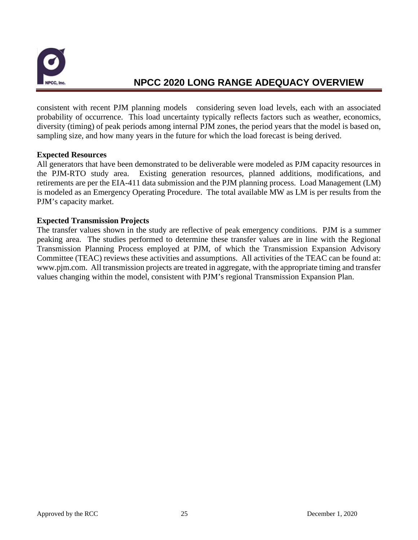

consistent with recent PJM planning models considering seven load levels, each with an associated probability of occurrence. This load uncertainty typically reflects factors such as weather, economics, diversity (timing) of peak periods among internal PJM zones, the period years that the model is based on, sampling size, and how many years in the future for which the load forecast is being derived.

#### **Expected Resources**

All generators that have been demonstrated to be deliverable were modeled as PJM capacity resources in the PJM-RTO study area. Existing generation resources, planned additions, modifications, and retirements are per the EIA-411 data submission and the PJM planning process. Load Management (LM) is modeled as an Emergency Operating Procedure. The total available MW as LM is per results from the PJM's capacity market.

#### **Expected Transmission Projects**

The transfer values shown in the study are reflective of peak emergency conditions. PJM is a summer peaking area. The studies performed to determine these transfer values are in line with the Regional Transmission Planning Process employed at PJM, of which the Transmission Expansion Advisory Committee (TEAC) reviews these activities and assumptions. All activities of the TEAC can be found at: www.pjm.com. All transmission projects are treated in aggregate, with the appropriate timing and transfer values changing within the model, consistent with PJM's regional Transmission Expansion Plan.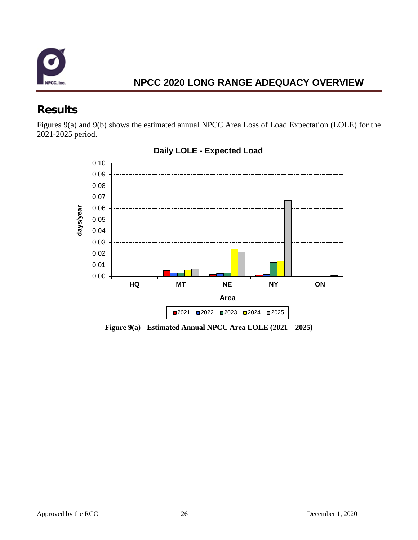

# <span id="page-27-0"></span>**Results**

Figures 9(a) and 9(b) shows the estimated annual NPCC Area Loss of Load Expectation (LOLE) for the 2021-2025 period.



### **Daily LOLE - Expected Load**

**Figure 9(a) - Estimated Annual NPCC Area LOLE (2021 – 2025)**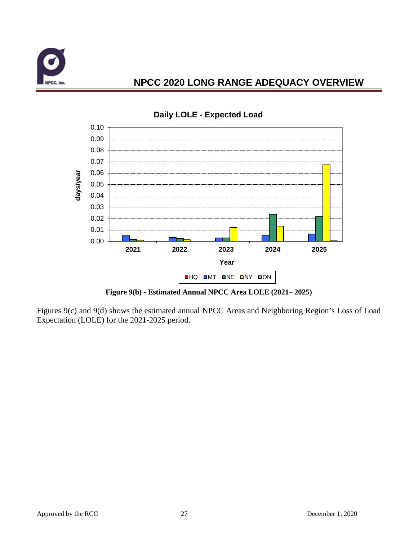



#### **Daily LOLE - Expected Load**

**Figure 9(b) - Estimated Annual NPCC Area LOLE (2021– 2025)**

Figures 9(c) and 9(d) shows the estimated annual NPCC Areas and Neighboring Region's Loss of Load Expectation (LOLE) for the 2021-2025 period.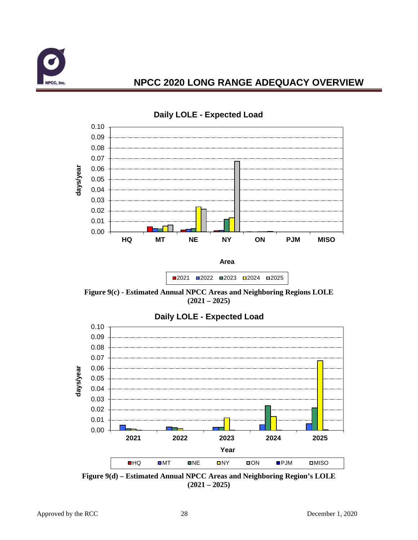



**Daily LOLE - Expected Load**

**Figure 9(c) - Estimated Annual NPCC Areas and Neighboring Regions LOLE (2021 – 2025)**

■2021 ■2022 ■2023 ■2024 ■2025



**Daily LOLE - Expected Load**

**Figure 9(d) – Estimated Annual NPCC Areas and Neighboring Region's LOLE (2021 – 2025)**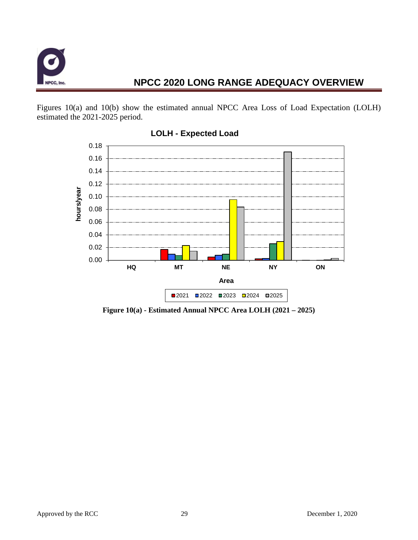

Figures 10(a) and 10(b) show the estimated annual NPCC Area Loss of Load Expectation (LOLH) estimated the 2021-2025 period.



### **LOLH - Expected Load**

**Figure 10(a) - Estimated Annual NPCC Area LOLH (2021 – 2025)**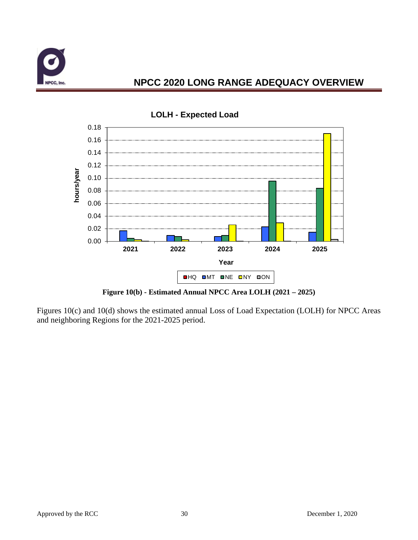



**LOLH - Expected Load**

**Figure 10(b) - Estimated Annual NPCC Area LOLH (2021 – 2025)**

Figures 10(c) and 10(d) shows the estimated annual Loss of Load Expectation (LOLH) for NPCC Areas and neighboring Regions for the 2021-2025 period.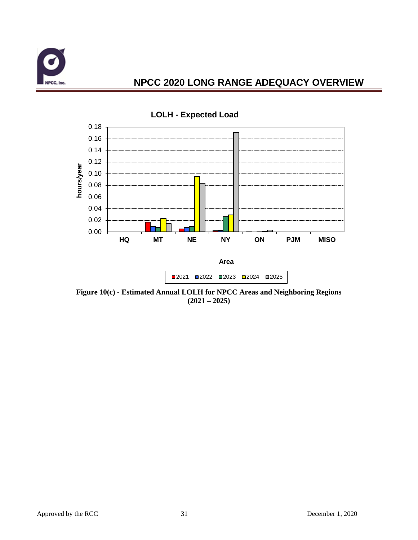



**Figure 10(c) - Estimated Annual LOLH for NPCC Areas and Neighboring Regions (2021 – 2025)**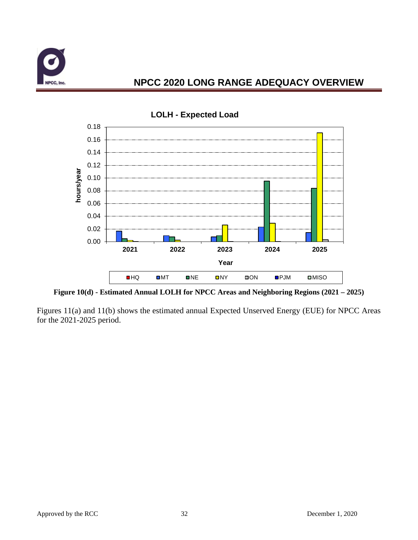



#### **LOLH - Expected Load**

**Figure 10(d) - Estimated Annual LOLH for NPCC Areas and Neighboring Regions (2021 – 2025)**

Figures 11(a) and 11(b) shows the estimated annual Expected Unserved Energy (EUE) for NPCC Areas for the 2021-2025 period.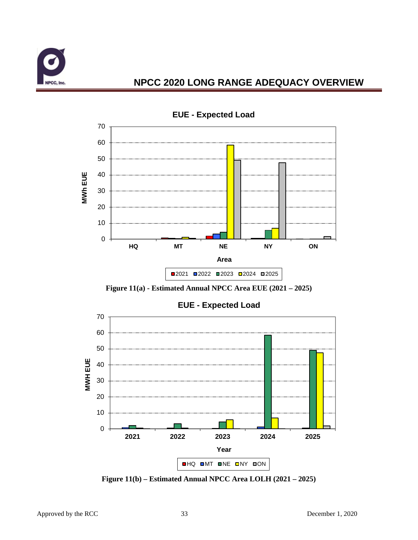



**EUE - Expected Load**

**Figure 11(a) - Estimated Annual NPCC Area EUE (2021 – 2025)**



**Figure 11(b) – Estimated Annual NPCC Area LOLH (2021 – 2025)**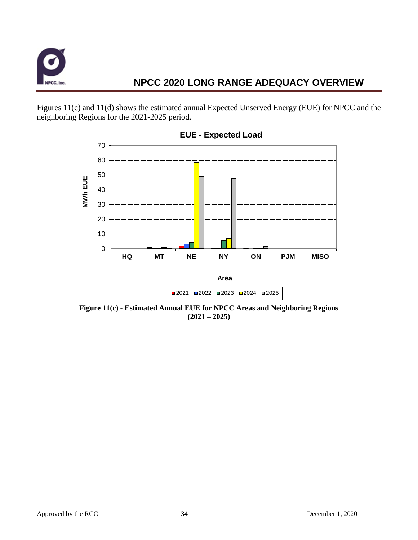

Figures 11(c) and 11(d) shows the estimated annual Expected Unserved Energy (EUE) for NPCC and the neighboring Regions for the 2021-2025 period.



**EUE - Expected Load**

**Figure 11(c) - Estimated Annual EUE for NPCC Areas and Neighboring Regions (2021 – 2025)**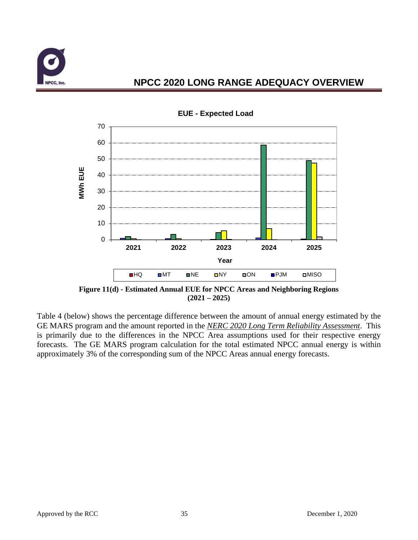



**EUE - Expected Load**

**Figure 11(d) - Estimated Annual EUE for NPCC Areas and Neighboring Regions (2021 – 2025)**

Table 4 (below) shows the percentage difference between the amount of annual energy estimated by the GE MARS program and the amount reported in the *NERC 2020 Long Term Reliability Assessment*. This is primarily due to the differences in the NPCC Area assumptions used for their respective energy forecasts. The GE MARS program calculation for the total estimated NPCC annual energy is within approximately 3% of the corresponding sum of the NPCC Areas annual energy forecasts.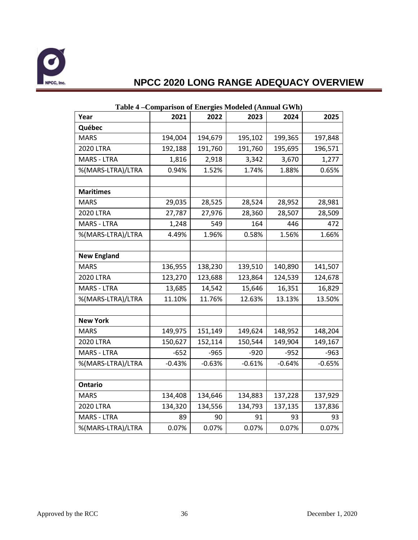

| Year               | 2021     | 2022     | 2023     | 2024     | 2025     |
|--------------------|----------|----------|----------|----------|----------|
| Québec             |          |          |          |          |          |
| <b>MARS</b>        | 194,004  | 194,679  | 195,102  | 199,365  | 197,848  |
| <b>2020 LTRA</b>   | 192,188  | 191,760  | 191,760  | 195,695  | 196,571  |
| <b>MARS - LTRA</b> | 1,816    | 2,918    | 3,342    | 3,670    | 1,277    |
| %(MARS-LTRA)/LTRA  | 0.94%    | 1.52%    | 1.74%    | 1.88%    | 0.65%    |
|                    |          |          |          |          |          |
| <b>Maritimes</b>   |          |          |          |          |          |
| <b>MARS</b>        | 29,035   | 28,525   | 28,524   | 28,952   | 28,981   |
| <b>2020 LTRA</b>   | 27,787   | 27,976   | 28,360   | 28,507   | 28,509   |
| <b>MARS - LTRA</b> | 1,248    | 549      | 164      | 446      | 472      |
| %(MARS-LTRA)/LTRA  | 4.49%    | 1.96%    | 0.58%    | 1.56%    | 1.66%    |
|                    |          |          |          |          |          |
| <b>New England</b> |          |          |          |          |          |
| <b>MARS</b>        | 136,955  | 138,230  | 139,510  | 140,890  | 141,507  |
| <b>2020 LTRA</b>   | 123,270  | 123,688  | 123,864  | 124,539  | 124,678  |
| <b>MARS - LTRA</b> | 13,685   | 14,542   | 15,646   | 16,351   | 16,829   |
| %(MARS-LTRA)/LTRA  | 11.10%   | 11.76%   | 12.63%   | 13.13%   | 13.50%   |
|                    |          |          |          |          |          |
| <b>New York</b>    |          |          |          |          |          |
| <b>MARS</b>        | 149,975  | 151,149  | 149,624  | 148,952  | 148,204  |
| <b>2020 LTRA</b>   | 150,627  | 152,114  | 150,544  | 149,904  | 149,167  |
| <b>MARS - LTRA</b> | $-652$   | $-965$   | $-920$   | $-952$   | $-963$   |
| %(MARS-LTRA)/LTRA  | $-0.43%$ | $-0.63%$ | $-0.61%$ | $-0.64%$ | $-0.65%$ |
|                    |          |          |          |          |          |
| <b>Ontario</b>     |          |          |          |          |          |
| <b>MARS</b>        | 134,408  | 134,646  | 134,883  | 137,228  | 137,929  |
| <b>2020 LTRA</b>   | 134,320  | 134,556  | 134,793  | 137,135  | 137,836  |
| <b>MARS - LTRA</b> | 89       | 90       | 91       | 93       | 93       |
| %(MARS-LTRA)/LTRA  | 0.07%    | 0.07%    | 0.07%    | 0.07%    | 0.07%    |

#### **Table 4 –Comparison of Energies Modeled (Annual GWh)**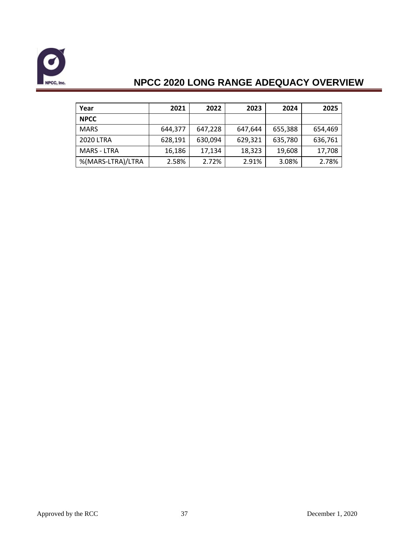

| Year               | 2021    | 2022    | 2023    | 2024    | 2025    |
|--------------------|---------|---------|---------|---------|---------|
| <b>NPCC</b>        |         |         |         |         |         |
| <b>MARS</b>        | 644,377 | 647,228 | 647,644 | 655,388 | 654,469 |
| <b>2020 LTRA</b>   | 628,191 | 630,094 | 629,321 | 635,780 | 636,761 |
| <b>MARS - LTRA</b> | 16,186  | 17,134  | 18,323  | 19,608  | 17,708  |
| %(MARS-LTRA)/LTRA  | 2.58%   | 2.72%   | 2.91%   | 3.08%   | 2.78%   |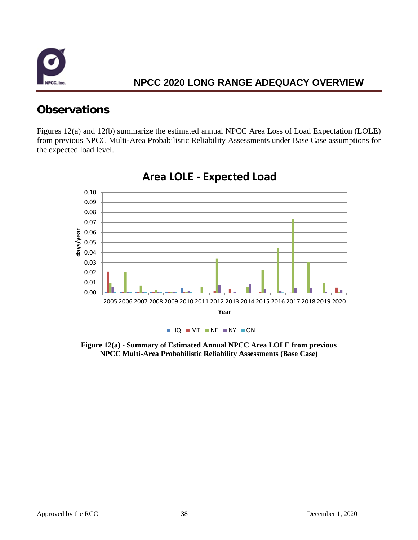

# <span id="page-39-0"></span>**Observations**

Figures 12(a) and 12(b) summarize the estimated annual NPCC Area Loss of Load Expectation (LOLE) from previous NPCC Multi-Area Probabilistic Reliability Assessments under Base Case assumptions for the expected load level.



## **Area LOLE - Expected Load**

**Figure 12(a) - Summary of Estimated Annual NPCC Area LOLE from previous NPCC Multi-Area Probabilistic Reliability Assessments (Base Case)**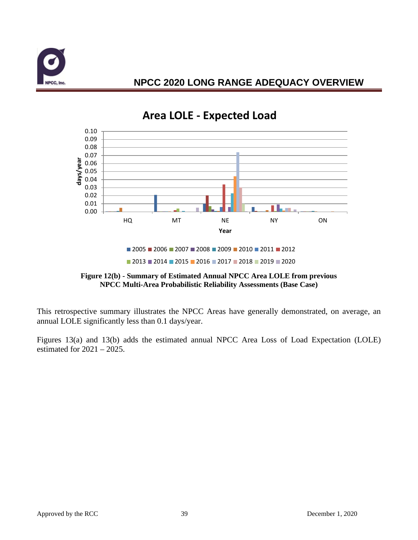



# **Area LOLE - Expected Load**

This retrospective summary illustrates the NPCC Areas have generally demonstrated, on average, an annual LOLE significantly less than 0.1 days/year.

Figures 13(a) and 13(b) adds the estimated annual NPCC Area Loss of Load Expectation (LOLE) estimated for  $2021 - 2025$ .

<sup>■ 2005 ■ 2006 ■ 2007 ■ 2008 ■ 2009 ■ 2010 ■ 2011 ■ 2012</sup> 2013 2014 2015 2016 2017 2018 2019 2020

**Figure 12(b) - Summary of Estimated Annual NPCC Area LOLE from previous NPCC Multi-Area Probabilistic Reliability Assessments (Base Case)**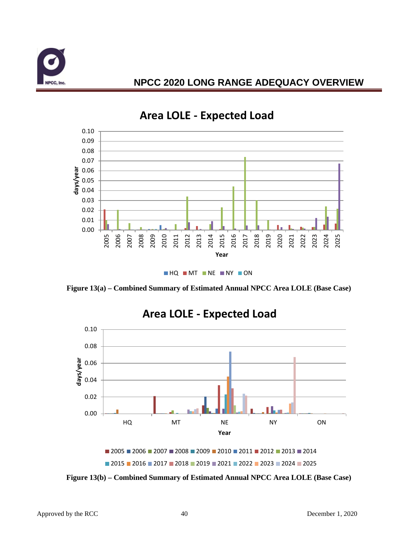



# **Area LOLE - Expected Load**

**HQ MT NE NY ON** 

**Figure 13(a) – Combined Summary of Estimated Annual NPCC Area LOLE (Base Case)**



**Figure 13(b) – Combined Summary of Estimated Annual NPCC Area LOLE (Base Case)**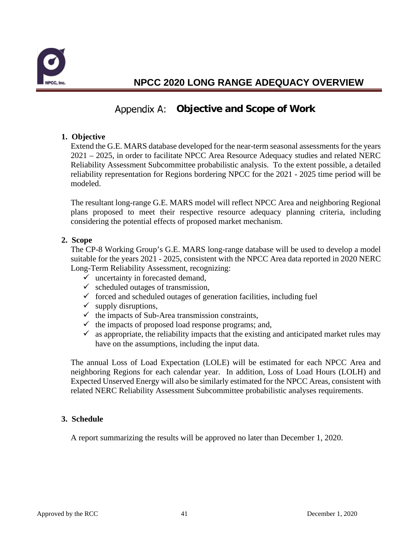

## Appendix A: Objective and Scope of Work

#### **1. Objective**

Extend the G.E. MARS database developed for the near-term seasonal assessments for the years 2021 – 2025, in order to facilitate NPCC Area Resource Adequacy studies and related NERC Reliability Assessment Subcommittee probabilistic analysis. To the extent possible, a detailed reliability representation for Regions bordering NPCC for the 2021 - 2025 time period will be modeled.

The resultant long-range G.E. MARS model will reflect NPCC Area and neighboring Regional plans proposed to meet their respective resource adequacy planning criteria, including considering the potential effects of proposed market mechanism.

#### **2. Scope**

The CP-8 Working Group's G.E. MARS long-range database will be used to develop a model suitable for the years 2021 - 2025, consistent with the NPCC Area data reported in 2020 NERC Long-Term Reliability Assessment, recognizing:

- $\checkmark$  uncertainty in forecasted demand,
- $\checkmark$  scheduled outages of transmission,
- $\checkmark$  forced and scheduled outages of generation facilities, including fuel
- $\checkmark$  supply disruptions,
- $\checkmark$  the impacts of Sub-Area transmission constraints,
- $\checkmark$  the impacts of proposed load response programs; and,
- $\checkmark$  as appropriate, the reliability impacts that the existing and anticipated market rules may have on the assumptions, including the input data.

The annual Loss of Load Expectation (LOLE) will be estimated for each NPCC Area and neighboring Regions for each calendar year. In addition, Loss of Load Hours (LOLH) and Expected Unserved Energy will also be similarly estimated for the NPCC Areas, consistent with related NERC Reliability Assessment Subcommittee probabilistic analyses requirements.

#### **3. Schedule**

A report summarizing the results will be approved no later than December 1, 2020.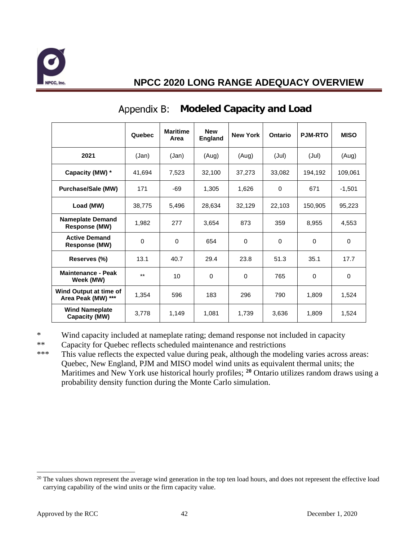

|                                              | Quebec   | <b>Maritime</b><br>Area | <b>New</b><br><b>England</b> | <b>New York</b> | Ontario     | <b>PJM-RTO</b> | <b>MISO</b> |
|----------------------------------------------|----------|-------------------------|------------------------------|-----------------|-------------|----------------|-------------|
| 2021                                         | (Jan)    | (Jan)                   | (Aug)                        | (Aug)           | (Jul)       | (Jul)          | (Aug)       |
| Capacity (MW) *                              | 41.694   | 7,523                   | 32,100                       | 37,273          | 33,082      | 194,192        | 109,061     |
| <b>Purchase/Sale (MW)</b>                    | 171      | $-69$                   | 1,305                        | 1,626           | 0           | 671            | $-1,501$    |
| Load (MW)                                    | 38,775   | 5.496                   | 28,634                       | 32,129          | 22,103      | 150,905        | 95,223      |
| <b>Nameplate Demand</b><br>Response (MW)     | 1,982    | 277                     | 3,654                        | 873             | 359         | 8,955          | 4,553       |
| <b>Active Demand</b><br>Response (MW)        | $\Omega$ | $\Omega$                | 654                          | $\Omega$        | $\mathbf 0$ | $\Omega$       | $\Omega$    |
| Reserves (%)                                 | 13.1     | 40.7                    | 29.4                         | 23.8            | 51.3        | 35.1           | 17.7        |
| <b>Maintenance - Peak</b><br>Week (MW)       | $***$    | 10                      | $\Omega$                     | $\Omega$        | 765         | $\Omega$       | $\Omega$    |
| Wind Output at time of<br>Area Peak (MW) *** | 1.354    | 596                     | 183                          | 296             | 790         | 1,809          | 1,524       |
| <b>Wind Nameplate</b><br>Capacity (MW)       | 3,778    | 1,149                   | 1,081                        | 1,739           | 3,636       | 1,809          | 1,524       |

### **Modeled Capacity and Load**

\* Wind capacity included at nameplate rating; demand response not included in capacity

\*\* Capacity for Quebec reflects scheduled maintenance and restrictions<br>\*\*\* This value reflects the expected value during peak although the mod

This value reflects the expected value during peak, although the modeling varies across areas: Quebec, New England, PJM and MISO model wind units as equivalent thermal units; the Maritimes and New York use historical hourly profiles; **[20](#page-43-0)** Ontario utilizes random draws using a probability density function during the Monte Carlo simulation.

<span id="page-43-0"></span> $20$  The values shown represent the average wind generation in the top ten load hours, and does not represent the effective load carrying capability of the wind units or the firm capacity value.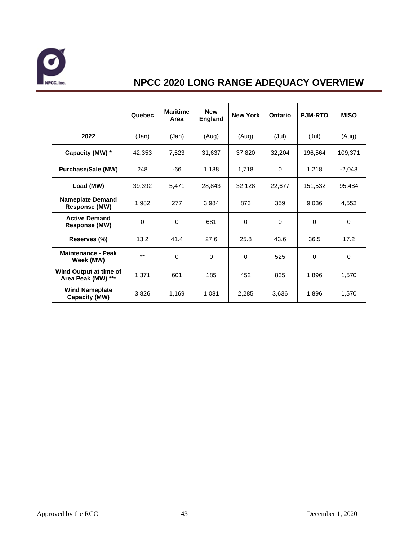

|                                              | Quebec   | <b>Maritime</b><br>Area | <b>New</b><br><b>England</b> | <b>New York</b> | Ontario     | <b>PJM-RTO</b> | <b>MISO</b> |
|----------------------------------------------|----------|-------------------------|------------------------------|-----------------|-------------|----------------|-------------|
| 2022                                         | (Jan)    | (Jan)                   | (Aug)                        | (Aug)           | (Jul)       | (Jul)          | (Aug)       |
| Capacity (MW) *                              | 42,353   | 7,523                   | 31,637                       | 37,820          | 32,204      | 196,564        | 109,371     |
| <b>Purchase/Sale (MW)</b>                    | 248      | $-66$                   | 1,188                        | 1,718           | $\Omega$    | 1,218          | $-2,048$    |
| Load (MW)                                    | 39,392   | 5,471                   | 28,843                       | 32,128          | 22,677      | 151,532        | 95,484      |
| <b>Nameplate Demand</b><br>Response (MW)     | 1,982    | 277                     | 3,984                        | 873             | 359         | 9,036          | 4,553       |
| <b>Active Demand</b><br><b>Response (MW)</b> | $\Omega$ | $\Omega$                | 681                          | $\mathbf 0$     | $\mathbf 0$ | $\Omega$       | $\mathbf 0$ |
| Reserves (%)                                 | 13.2     | 41.4                    | 27.6                         | 25.8            | 43.6        | 36.5           | 17.2        |
| <b>Maintenance - Peak</b><br>Week (MW)       | $***$    | $\Omega$                | $\Omega$                     | 0               | 525         | 0              | 0           |
| Wind Output at time of<br>Area Peak (MW) *** | 1,371    | 601                     | 185                          | 452             | 835         | 1,896          | 1,570       |
| <b>Wind Nameplate</b><br>Capacity (MW)       | 3,826    | 1,169                   | 1,081                        | 2,285           | 3,636       | 1,896          | 1,570       |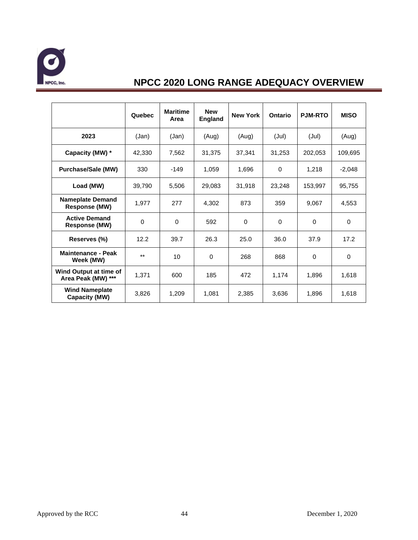

|                                              | Quebec   | <b>Maritime</b><br>Area | <b>New</b><br><b>England</b> | <b>New York</b> | Ontario     | <b>PJM-RTO</b> | <b>MISO</b> |
|----------------------------------------------|----------|-------------------------|------------------------------|-----------------|-------------|----------------|-------------|
| 2023                                         | (Jan)    | (Jan)                   | (Aug)                        | (Aug)           | (Jul)       | (Jul)          | (Aug)       |
| Capacity (MW) *                              | 42,330   | 7,562                   | 31,375                       | 37,341          | 31,253      | 202,053        | 109,695     |
| <b>Purchase/Sale (MW)</b>                    | 330      | $-149$                  | 1,059                        | 1,696           | $\Omega$    | 1,218          | $-2,048$    |
| Load (MW)                                    | 39,790   | 5,506                   | 29,083                       | 31,918          | 23,248      | 153,997        | 95,755      |
| <b>Nameplate Demand</b><br>Response (MW)     | 1,977    | 277                     | 4,302                        | 873             | 359         | 9,067          | 4,553       |
| <b>Active Demand</b><br>Response (MW)        | $\Omega$ | 0                       | 592                          | 0               | $\mathbf 0$ | 0              | $\mathbf 0$ |
| Reserves (%)                                 | 12.2     | 39.7                    | 26.3                         | 25.0            | 36.0        | 37.9           | 17.2        |
| <b>Maintenance - Peak</b><br>Week (MW)       | $***$    | 10                      | $\Omega$                     | 268             | 868         | $\Omega$       | $\Omega$    |
| Wind Output at time of<br>Area Peak (MW) *** | 1,371    | 600                     | 185                          | 472             | 1,174       | 1,896          | 1,618       |
| <b>Wind Nameplate</b><br>Capacity (MW)       | 3,826    | 1,209                   | 1,081                        | 2,385           | 3,636       | 1,896          | 1,618       |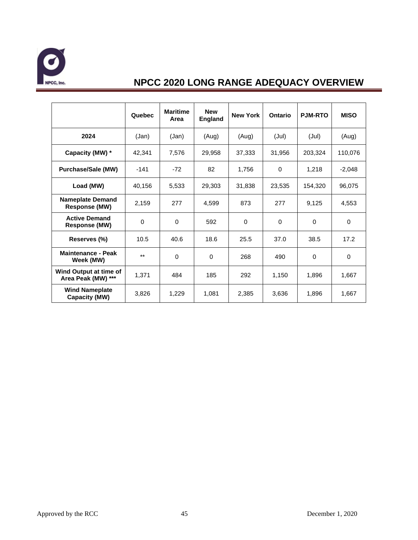

|                                              | Quebec   | <b>Maritime</b><br>Area | <b>New</b><br><b>England</b> | <b>New York</b> | Ontario     | <b>PJM-RTO</b> | <b>MISO</b> |
|----------------------------------------------|----------|-------------------------|------------------------------|-----------------|-------------|----------------|-------------|
| 2024                                         | (Jan)    | (Jan)                   | (Aug)                        | (Aug)           | (Jul)       | (Jul)          | (Aug)       |
| Capacity (MW) *                              | 42,341   | 7,576                   | 29,958                       | 37,333          | 31,956      | 203,324        | 110,076     |
| <b>Purchase/Sale (MW)</b>                    | $-141$   | $-72$                   | 82                           | 1,756           | $\Omega$    | 1,218          | $-2,048$    |
| Load (MW)                                    | 40,156   | 5,533                   | 29,303                       | 31,838          | 23,535      | 154,320        | 96,075      |
| <b>Nameplate Demand</b><br>Response (MW)     | 2,159    | 277                     | 4,599                        | 873             | 277         | 9,125          | 4,553       |
| <b>Active Demand</b><br>Response (MW)        | $\Omega$ | 0                       | 592                          | 0               | $\mathbf 0$ | 0              | $\mathbf 0$ |
| Reserves (%)                                 | 10.5     | 40.6                    | 18.6                         | 25.5            | 37.0        | 38.5           | 17.2        |
| <b>Maintenance - Peak</b><br>Week (MW)       | $***$    | $\Omega$                | $\Omega$                     | 268             | 490         | $\Omega$       | $\Omega$    |
| Wind Output at time of<br>Area Peak (MW) *** | 1,371    | 484                     | 185                          | 292             | 1,150       | 1,896          | 1,667       |
| <b>Wind Nameplate</b><br>Capacity (MW)       | 3,826    | 1,229                   | 1,081                        | 2,385           | 3,636       | 1,896          | 1,667       |